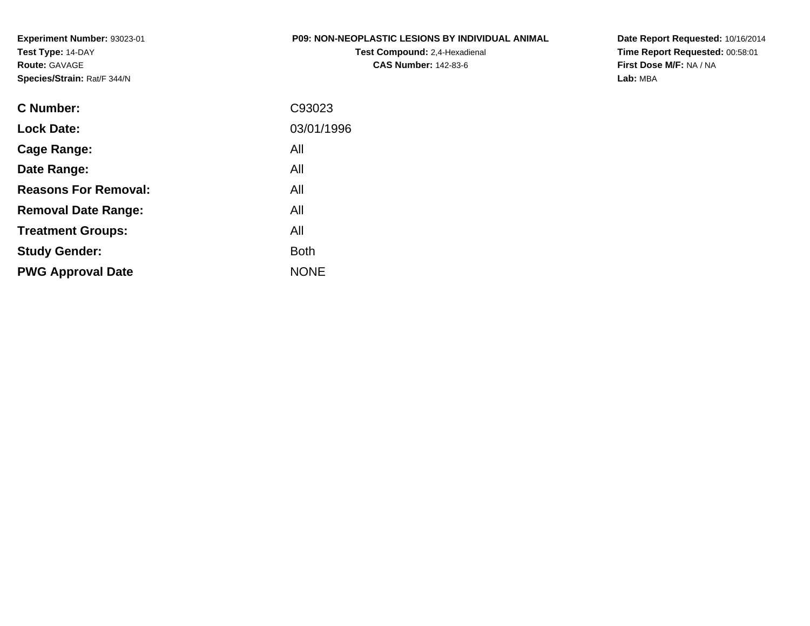**Experiment Number:** 93023-01**Test Type:** 14-DAY**Route:** GAVAGE**Species/Strain:** Rat/F 344/N

#### **P09: NON-NEOPLASTIC LESIONS BY INDIVIDUAL ANIMAL**

**Test Compound:** 2,4-Hexadienal **CAS Number:** 142-83-6

**Date Report Requested:** 10/16/2014**Time Report Requested:** 00:58:01**First Dose M/F:** NA / NA**Lab:** MBA

| C93023      |
|-------------|
| 03/01/1996  |
| All         |
| All         |
| All         |
| All         |
| All         |
| <b>Both</b> |
| <b>NONE</b> |
|             |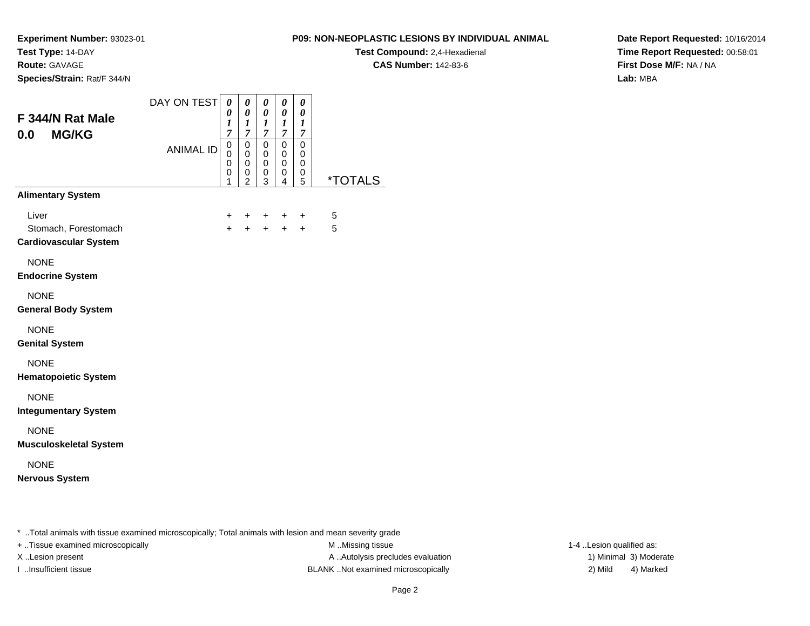**Route:** GAVAGE

**Species/Strain:** Rat/F 344/N

#### **P09: NON-NEOPLASTIC LESIONS BY INDIVIDUAL ANIMAL**

**Test Compound:** 2,4-Hexadienal

**CAS Number:** 142-83-6

**Date Report Requested:** 10/16/2014**Time Report Requested:** 00:58:01**First Dose M/F:** NA / NA**Lab:** MBA

| F 344/N Rat Male<br><b>MG/KG</b><br>0.0                       | DAY ON TEST      | 0<br>0<br>1<br>$\overline{7}$   | 0<br>0<br>$\boldsymbol{l}$<br>$\overline{7}$ | 0<br>$\boldsymbol{\theta}$<br>$\boldsymbol{l}$<br>$\overline{\mathcal{I}}$ | $\boldsymbol{\theta}$<br>0<br>$\bm{l}$<br>$\overline{7}$ | 0<br>0<br>1<br>$\overline{7}$ |                       |
|---------------------------------------------------------------|------------------|---------------------------------|----------------------------------------------|----------------------------------------------------------------------------|----------------------------------------------------------|-------------------------------|-----------------------|
|                                                               | <b>ANIMAL ID</b> | $\mathsf 0$<br>0<br>0<br>0<br>1 | $\mathbf 0$<br>0<br>0<br>0<br>$\overline{2}$ | 0<br>0<br>0<br>0<br>3                                                      | $\mathbf 0$<br>0<br>0<br>0<br>4                          | 0<br>0<br>0<br>0<br>5         | <i><b>*TOTALS</b></i> |
| <b>Alimentary System</b>                                      |                  |                                 |                                              |                                                                            |                                                          |                               |                       |
| Liver<br>Stomach, Forestomach<br><b>Cardiovascular System</b> |                  | $\ddot{}$<br>$+$                | $+$<br>$+$                                   | $+$                                                                        | $\ddot{}$<br>$+$ $+$                                     | $\ddot{}$<br>$+$              | 5<br>5                |
| <b>NONE</b><br><b>Endocrine System</b>                        |                  |                                 |                                              |                                                                            |                                                          |                               |                       |
| <b>NONE</b><br><b>General Body System</b>                     |                  |                                 |                                              |                                                                            |                                                          |                               |                       |
| <b>NONE</b><br><b>Genital System</b>                          |                  |                                 |                                              |                                                                            |                                                          |                               |                       |
| <b>NONE</b><br><b>Hematopoietic System</b>                    |                  |                                 |                                              |                                                                            |                                                          |                               |                       |
| <b>NONE</b><br><b>Integumentary System</b>                    |                  |                                 |                                              |                                                                            |                                                          |                               |                       |
| <b>NONE</b><br><b>Musculoskeletal System</b>                  |                  |                                 |                                              |                                                                            |                                                          |                               |                       |
| <b>NONE</b><br><b>Nervous System</b>                          |                  |                                 |                                              |                                                                            |                                                          |                               |                       |

\* ..Total animals with tissue examined microscopically; Total animals with lesion and mean severity grade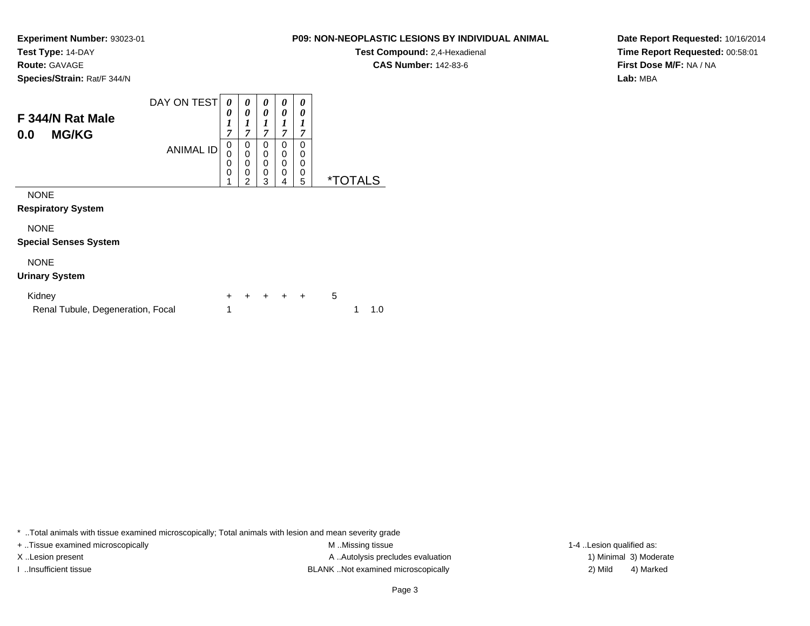**Route:** GAVAGE

**Species/Strain:** Rat/F 344/N

#### **P09: NON-NEOPLASTIC LESIONS BY INDIVIDUAL ANIMAL**

**Test Compound:** 2,4-Hexadienal **CAS Number:** 142-83-6

**Date Report Requested:** 10/16/2014**Time Report Requested:** 00:58:01**First Dose M/F:** NA / NA**Lab:** MBA

| F 344/N Rat Male<br><b>MG/KG</b><br>0.0 | DAY ON TEST<br><b>ANIMAL ID</b> | 0<br>0<br>$\boldsymbol{l}$<br>7<br>0<br>0<br>0<br>$\mathbf 0$ | 0<br>0<br>1<br>7<br>0<br>0<br>0<br>0 | 0<br>0<br>1<br>7<br>0<br>$\mathbf 0$<br>0<br>$\mathbf 0$ | 0<br>0<br>,<br>7<br>0<br>0<br>0<br>0 | 0<br>0<br>7<br>0<br>0<br>0<br>0 |     |
|-----------------------------------------|---------------------------------|---------------------------------------------------------------|--------------------------------------|----------------------------------------------------------|--------------------------------------|---------------------------------|-----|
| <b>NONE</b>                             |                                 |                                                               | $\overline{2}$                       | 3                                                        | 4                                    | 5                               | *TC |
| <b>Respiratory System</b>               |                                 |                                                               |                                      |                                                          |                                      |                                 |     |
| <b>NONE</b>                             |                                 |                                                               |                                      |                                                          |                                      |                                 |     |
| <b>Special Senses System</b>            |                                 |                                                               |                                      |                                                          |                                      |                                 |     |
| <b>NONE</b>                             |                                 |                                                               |                                      |                                                          |                                      |                                 |     |

### **Urinary System**

| Kidney                            |  |  | + + + + + 5 |       |
|-----------------------------------|--|--|-------------|-------|
| Renal Tubule, Degeneration, Focal |  |  |             | 1 1.0 |

\* ..Total animals with tissue examined microscopically; Total animals with lesion and mean severity grade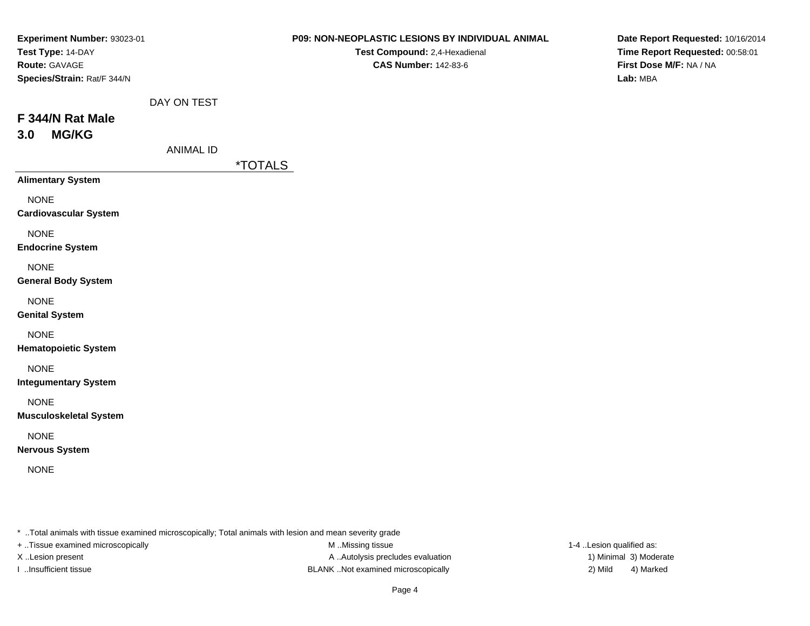| Experiment Number: 93023-01<br>Test Type: 14-DAY<br>Route: GAVAGE<br>Species/Strain: Rat/F 344/N |                  | P09: NON-NEOPLASTIC LESIONS BY INDIVIDUAL ANIMAL<br>Test Compound: 2,4-Hexadienal<br><b>CAS Number: 142-83-6</b> | Date Report Requested: 10/16/2014<br>Time Report Requested: 00:58:01<br>First Dose M/F: NA / NA<br>Lab: MBA |
|--------------------------------------------------------------------------------------------------|------------------|------------------------------------------------------------------------------------------------------------------|-------------------------------------------------------------------------------------------------------------|
| F 344/N Rat Male<br><b>MG/KG</b><br>3.0                                                          | DAY ON TEST      |                                                                                                                  |                                                                                                             |
|                                                                                                  | <b>ANIMAL ID</b> | <i><b>*TOTALS</b></i>                                                                                            |                                                                                                             |
| <b>Alimentary System</b>                                                                         |                  |                                                                                                                  |                                                                                                             |
| <b>NONE</b><br><b>Cardiovascular System</b>                                                      |                  |                                                                                                                  |                                                                                                             |
| <b>NONE</b><br><b>Endocrine System</b>                                                           |                  |                                                                                                                  |                                                                                                             |
| <b>NONE</b><br><b>General Body System</b>                                                        |                  |                                                                                                                  |                                                                                                             |
| <b>NONE</b><br><b>Genital System</b>                                                             |                  |                                                                                                                  |                                                                                                             |
| <b>NONE</b><br><b>Hematopoietic System</b>                                                       |                  |                                                                                                                  |                                                                                                             |
| <b>NONE</b><br><b>Integumentary System</b>                                                       |                  |                                                                                                                  |                                                                                                             |
| <b>NONE</b><br><b>Musculoskeletal System</b>                                                     |                  |                                                                                                                  |                                                                                                             |
| <b>NONE</b><br><b>Nervous System</b>                                                             |                  |                                                                                                                  |                                                                                                             |
| <b>NONE</b>                                                                                      |                  |                                                                                                                  |                                                                                                             |

\* ..Total animals with tissue examined microscopically; Total animals with lesion and mean severity grade

+ ..Tissue examined microscopically

M ..Missing tissue X..Lesion present **A ..Autolysis precludes evaluation** A ..Autolysis precludes evaluation 1) Minimal 3) Moderate I ..Insufficient tissue BLANK ..Not examined microscopically 2) Mild 4) Marked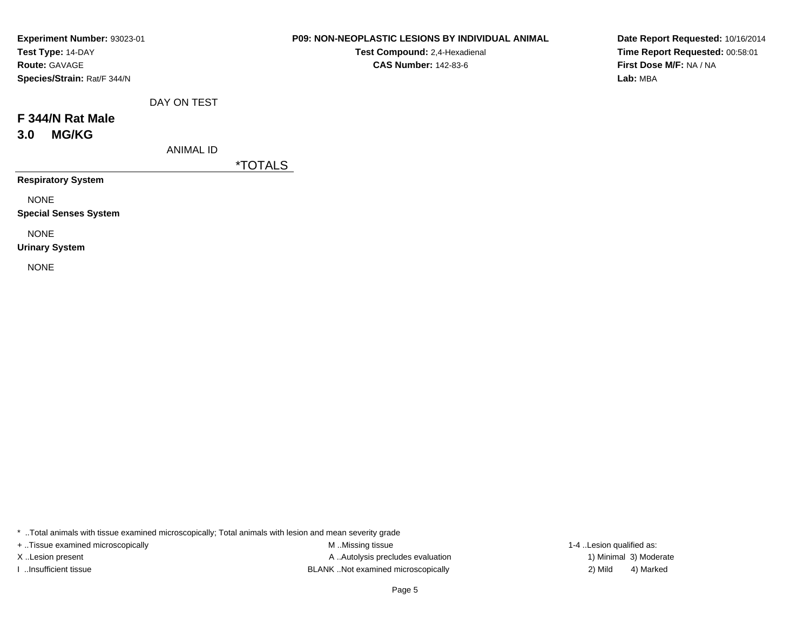| Experiment Number: 93023-01 |
|-----------------------------|
| Test Type: 14-DAY           |
| <b>Route: GAVAGE</b>        |
| Species/Strain: Rat/F 344/N |

**Test Compound:** 2,4-Hexadienal **CAS Number:** 142-83-6

**Date Report Requested:** 10/16/2014**Time Report Requested:** 00:58:01**First Dose M/F:** NA / NA**Lab:** MBA

| F 344/N Rat Male |  |
|------------------|--|

# **3.0 MG/KG**

ANIMAL ID

DAY ON TEST

\*TOTALS

**Respiratory System**

NONE

**Special Senses System**

NONE

**Urinary System**

NONE

\* ..Total animals with tissue examined microscopically; Total animals with lesion and mean severity grade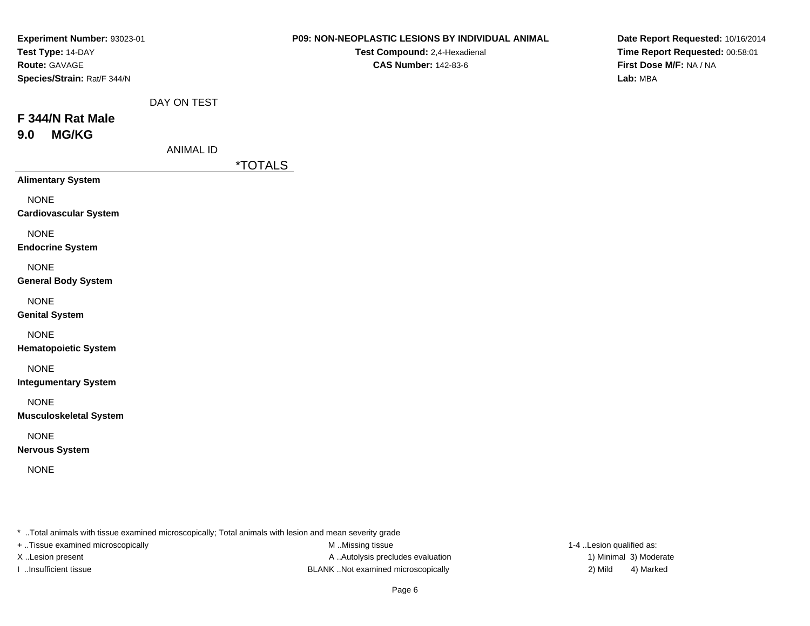| Experiment Number: 93023-01   |                  | P09: NON-NEOPLASTIC LESIONS BY INDIVIDUAL ANIMAL | Date Report Requested: 10/16/2014 |
|-------------------------------|------------------|--------------------------------------------------|-----------------------------------|
| Test Type: 14-DAY             |                  | Test Compound: 2,4-Hexadienal                    | Time Report Requested: 00:58:01   |
| Route: GAVAGE                 |                  | <b>CAS Number: 142-83-6</b>                      | First Dose M/F: NA / NA           |
| Species/Strain: Rat/F 344/N   |                  |                                                  | Lab: MBA                          |
|                               | DAY ON TEST      |                                                  |                                   |
| F 344/N Rat Male              |                  |                                                  |                                   |
| <b>MG/KG</b><br>9.0           |                  |                                                  |                                   |
|                               | <b>ANIMAL ID</b> |                                                  |                                   |
|                               |                  | <i><b>*TOTALS</b></i>                            |                                   |
| <b>Alimentary System</b>      |                  |                                                  |                                   |
| <b>NONE</b>                   |                  |                                                  |                                   |
| <b>Cardiovascular System</b>  |                  |                                                  |                                   |
| <b>NONE</b>                   |                  |                                                  |                                   |
| <b>Endocrine System</b>       |                  |                                                  |                                   |
| <b>NONE</b>                   |                  |                                                  |                                   |
| <b>General Body System</b>    |                  |                                                  |                                   |
| <b>NONE</b>                   |                  |                                                  |                                   |
| <b>Genital System</b>         |                  |                                                  |                                   |
| <b>NONE</b>                   |                  |                                                  |                                   |
| <b>Hematopoietic System</b>   |                  |                                                  |                                   |
| <b>NONE</b>                   |                  |                                                  |                                   |
| <b>Integumentary System</b>   |                  |                                                  |                                   |
| <b>NONE</b>                   |                  |                                                  |                                   |
| <b>Musculoskeletal System</b> |                  |                                                  |                                   |
| <b>NONE</b>                   |                  |                                                  |                                   |
| <b>Nervous System</b>         |                  |                                                  |                                   |
| <b>NONE</b>                   |                  |                                                  |                                   |
|                               |                  |                                                  |                                   |
|                               |                  |                                                  |                                   |

\* ..Total animals with tissue examined microscopically; Total animals with lesion and mean severity grade

+ ..Tissue examined microscopically

M ..Missing tissue X..Lesion present **A ..Autolysis precludes evaluation** A ..Autolysis precludes evaluation 1) Minimal 3) Moderate I ..Insufficient tissue BLANK ..Not examined microscopically 2) Mild 4) Marked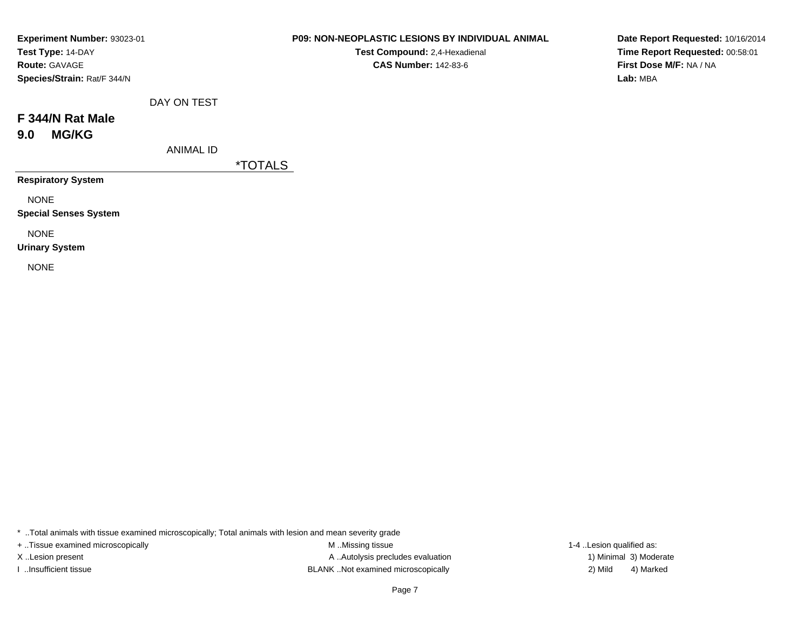| Experiment Number: 93023-01 |
|-----------------------------|
| Test Type: 14-DAY           |
| <b>Route: GAVAGE</b>        |
| Species/Strain: Rat/F 344/N |

**Test Compound:** 2,4-Hexadienal **CAS Number:** 142-83-6

**Date Report Requested:** 10/16/2014**Time Report Requested:** 00:58:01**First Dose M/F:** NA / NA**Lab:** MBA

| F 344/N Rat Male |  |  |
|------------------|--|--|
|                  |  |  |

**9.0 MG/KG**

ANIMAL ID

DAY ON TEST

\*TOTALS

**Respiratory System**

NONE

**Special Senses System**

NONE

**Urinary System**

NONE

\* ..Total animals with tissue examined microscopically; Total animals with lesion and mean severity grade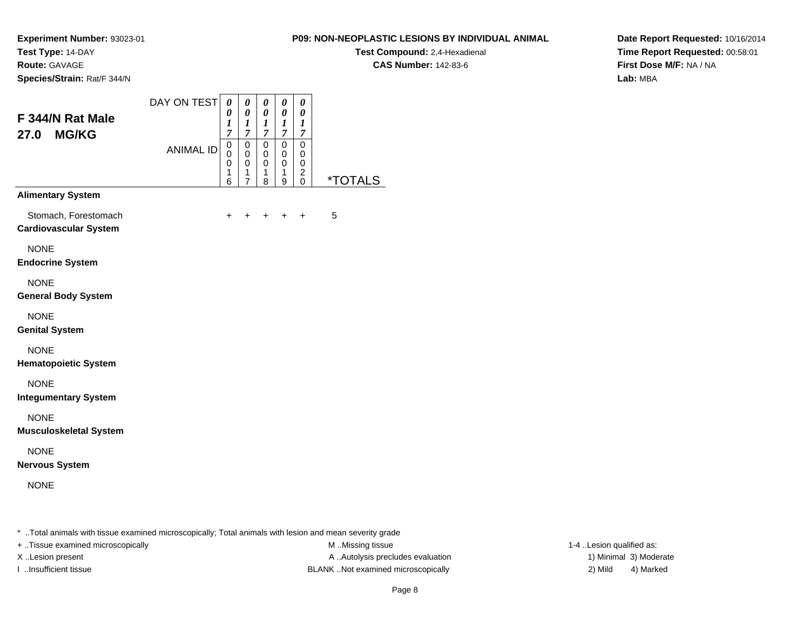**Route:** GAVAGE

**Species/Strain:** Rat/F 344/N

#### **P09: NON-NEOPLASTIC LESIONS BY INDIVIDUAL ANIMAL**

**Test Compound:** 2,4-Hexadienal

**CAS Number:** 142-83-6

**Date Report Requested:** 10/16/2014**Time Report Requested:** 00:58:01**First Dose M/F:** NA / NA**Lab:** MBA

| F 344/N Rat Male<br><b>MG/KG</b><br>27.0<br><b>Alimentary System</b> | DAY ON TEST<br><b>ANIMAL ID</b> | 0<br>0<br>1<br>$\overline{7}$<br>$\pmb{0}$<br>$\mathbf 0$<br>$\mathbf 0$<br>1<br>6 | 0<br>0<br>$\boldsymbol{l}$<br>7<br>$\pmb{0}$<br>0<br>0<br>1<br>$\overline{7}$ | 0<br>0<br>$\bm{l}$<br>$\mathcal{I}$<br>0<br>0<br>0<br>1<br>8 | 0<br>0<br>1<br>7<br>$\mathbf 0$<br>0<br>0<br>1<br>9 | 0<br>0<br>1<br>7<br>$\mathbf 0$<br>0<br>0<br>$\overline{\mathbf{c}}$<br>$\mathbf 0$ | <i><b>*TOTALS</b></i> |
|----------------------------------------------------------------------|---------------------------------|------------------------------------------------------------------------------------|-------------------------------------------------------------------------------|--------------------------------------------------------------|-----------------------------------------------------|-------------------------------------------------------------------------------------|-----------------------|
| Stomach, Forestomach<br><b>Cardiovascular System</b>                 |                                 | $\ddot{}$                                                                          | +                                                                             | +                                                            | $\pm$                                               | $\ddot{}$                                                                           | 5                     |
| <b>NONE</b><br><b>Endocrine System</b>                               |                                 |                                                                                    |                                                                               |                                                              |                                                     |                                                                                     |                       |
| <b>NONE</b><br><b>General Body System</b>                            |                                 |                                                                                    |                                                                               |                                                              |                                                     |                                                                                     |                       |
| <b>NONE</b><br><b>Genital System</b>                                 |                                 |                                                                                    |                                                                               |                                                              |                                                     |                                                                                     |                       |
| <b>NONE</b><br><b>Hematopoietic System</b>                           |                                 |                                                                                    |                                                                               |                                                              |                                                     |                                                                                     |                       |
| <b>NONE</b><br><b>Integumentary System</b>                           |                                 |                                                                                    |                                                                               |                                                              |                                                     |                                                                                     |                       |
| <b>NONE</b><br><b>Musculoskeletal System</b>                         |                                 |                                                                                    |                                                                               |                                                              |                                                     |                                                                                     |                       |
| <b>NONE</b><br><b>Nervous System</b>                                 |                                 |                                                                                    |                                                                               |                                                              |                                                     |                                                                                     |                       |
| <b>NONE</b>                                                          |                                 |                                                                                    |                                                                               |                                                              |                                                     |                                                                                     |                       |

\* ..Total animals with tissue examined microscopically; Total animals with lesion and mean severity grade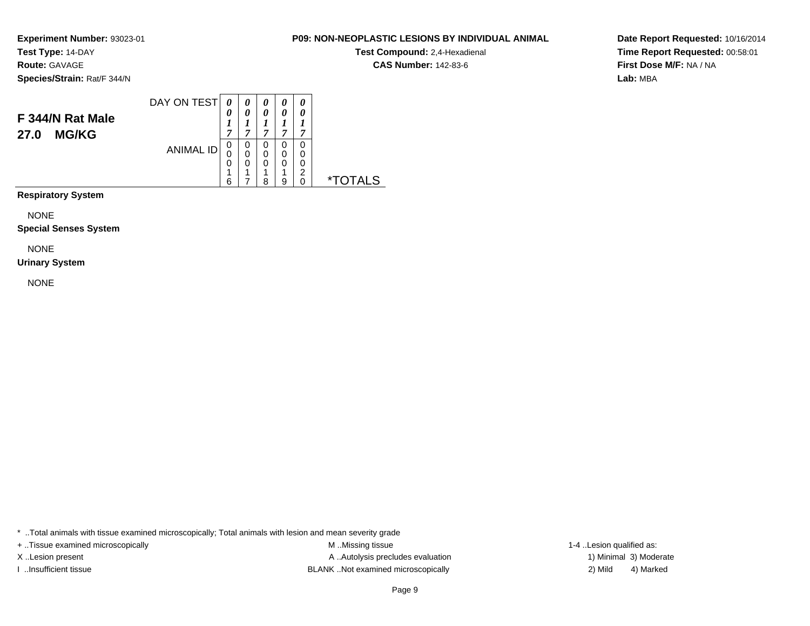**Test Type:** 14-DAY**Route:** GAVAGE

**Species/Strain:** Rat/F 344/N

|                                  | DAY ON TEST      | $\boldsymbol{\theta}$ | 0      |        | 0           | 0           |  |
|----------------------------------|------------------|-----------------------|--------|--------|-------------|-------------|--|
| F 344/N Rat Male<br><b>MG/KG</b> |                  | 0<br>7                | 0<br>~ | 0<br>7 | 0<br>A      | 0<br>7      |  |
| 27.0                             | <b>ANIMAL ID</b> | 0<br>0                | 0<br>0 | 0<br>0 | O           | 0<br>0      |  |
|                                  |                  | 0<br>6                | 0      | 0<br>я | 0<br>4<br>a | 0<br>っ<br>∩ |  |

**Respiratory System**

NONE

**Special Senses System**

NONE

### **Urinary System**

NONE

\* ..Total animals with tissue examined microscopically; Total animals with lesion and mean severity grade

+ ..Tissue examined microscopically examined microscopically examined as:  $M$  ..Missing tissue 1-4 ..Lesion qualified as: X..Lesion present **A ..Autolysis precludes evaluation** A ..Autolysis precludes evaluation 1) Minimal 3) Moderate I ..Insufficient tissue BLANK ..Not examined microscopically 2) Mild 4) Marked

# Page 9

**Date Report Requested:** 10/16/2014**Time Report Requested:** 00:58:01**First Dose M/F:** NA / NA**Lab:** MBA

**CAS Number:** 142-83-6

**P09: NON-NEOPLASTIC LESIONS BY INDIVIDUAL ANIMAL**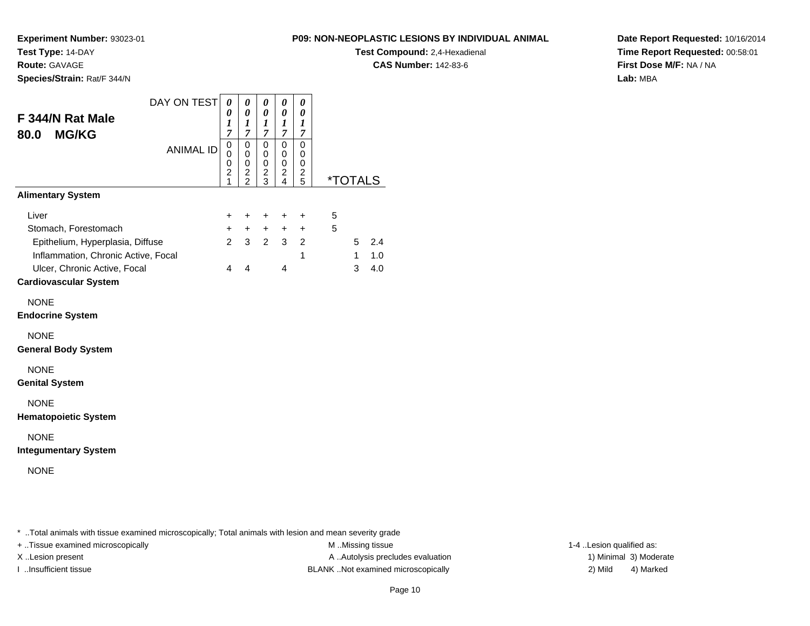**Test Type:** 14-DAY**Route:** GAVAGE

**Species/Strain:** Rat/F 344/N

#### **P09: NON-NEOPLASTIC LESIONS BY INDIVIDUAL ANIMAL**

**Test Compound:** 2,4-Hexadienal

**CAS Number:** 142-83-6

**Date Report Requested:** 10/16/2014**Time Report Requested:** 00:58:01**First Dose M/F:** NA / NA**Lab:** MBA

| F 344/N Rat Male<br><b>MG/KG</b><br>80.0                                                                                                                                 | DAY ON TEST      | 0<br>0<br>1<br>7                                     | 0<br>0<br>1<br>7                                   | 0<br>0<br>1<br>$\overline{7}$                  | 0<br>0<br>1<br>7                                | 0<br>0<br>1<br>7                      |        |                        |                   |
|--------------------------------------------------------------------------------------------------------------------------------------------------------------------------|------------------|------------------------------------------------------|----------------------------------------------------|------------------------------------------------|-------------------------------------------------|---------------------------------------|--------|------------------------|-------------------|
|                                                                                                                                                                          | <b>ANIMAL ID</b> | 0<br>0<br>$\boldsymbol{0}$<br>$\overline{2}$<br>1    | 0<br>0<br>$\mathbf 0$<br>2<br>$\mathfrak{p}$       | $\mathbf 0$<br>0<br>0<br>$\boldsymbol{2}$<br>3 | 0<br>0<br>0<br>$\overline{c}$<br>$\overline{4}$ | 0<br>0<br>0<br>$\frac{2}{5}$          |        | <i><b>*TOTALS</b></i>  |                   |
| <b>Alimentary System</b>                                                                                                                                                 |                  |                                                      |                                                    |                                                |                                                 |                                       |        |                        |                   |
| Liver<br>Stomach, Forestomach<br>Epithelium, Hyperplasia, Diffuse<br>Inflammation, Chronic Active, Focal<br>Ulcer, Chronic Active, Focal<br><b>Cardiovascular System</b> |                  | $\ddot{}$<br>$+$<br>$\overline{2}$<br>$\overline{4}$ | $\ddot{}$<br>$+$<br>$\mathbf{3}$<br>$\overline{4}$ | $\ddot{}$<br>$+$<br>$2^{\circ}$                | $\ddot{}$<br>$+$<br>3 <sup>1</sup><br>4         | +<br>$\ddot{}$<br>$\overline{2}$<br>1 | 5<br>5 | 5<br>$\mathbf{1}$<br>3 | 2.4<br>1.0<br>4.0 |
| <b>NONE</b><br><b>Endocrine System</b>                                                                                                                                   |                  |                                                      |                                                    |                                                |                                                 |                                       |        |                        |                   |
| <b>NONE</b><br><b>General Body System</b>                                                                                                                                |                  |                                                      |                                                    |                                                |                                                 |                                       |        |                        |                   |
| <b>NONE</b><br><b>Genital System</b>                                                                                                                                     |                  |                                                      |                                                    |                                                |                                                 |                                       |        |                        |                   |
| <b>NONE</b><br><b>Hematopoietic System</b>                                                                                                                               |                  |                                                      |                                                    |                                                |                                                 |                                       |        |                        |                   |
| <b>NONE</b><br><b>Integumentary System</b>                                                                                                                               |                  |                                                      |                                                    |                                                |                                                 |                                       |        |                        |                   |
| <b>NONE</b>                                                                                                                                                              |                  |                                                      |                                                    |                                                |                                                 |                                       |        |                        |                   |
|                                                                                                                                                                          |                  |                                                      |                                                    |                                                |                                                 |                                       |        |                        |                   |

\* ..Total animals with tissue examined microscopically; Total animals with lesion and mean severity grade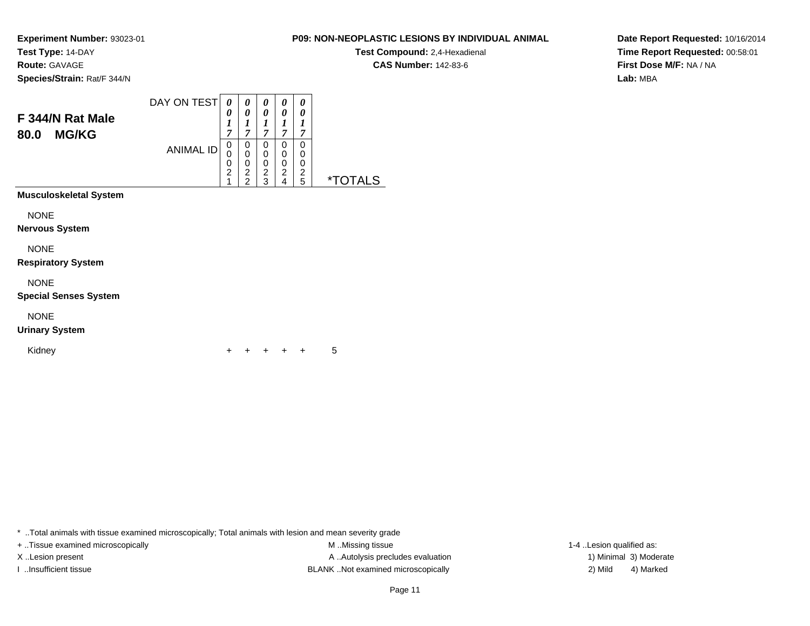**Test Compound:** 2,4-Hexadienal **CAS Number:** 142-83-6

**Date Report Requested:** 10/16/2014**Time Report Requested:** 00:58:01**First Dose M/F:** NA / NA**Lab:** MBA

**Experiment Number:** 93023-01**Test Type:** 14-DAY**Route:** GAVAGE**Species/Strain:** Rat/F 344/N

| F 344/N Rat Male<br><b>MG/KG</b><br>80.0 | DAY ON TEST      | 0<br>0<br>1<br>7                   | 0<br>0<br>1<br>$\overline{7}$                                       | 0<br>0<br>1<br>7                   | 0<br>0<br>1<br>7                   | 0<br>0<br>1<br>7             |                       |
|------------------------------------------|------------------|------------------------------------|---------------------------------------------------------------------|------------------------------------|------------------------------------|------------------------------|-----------------------|
|                                          | <b>ANIMAL ID</b> | 0<br>0<br>0<br>$\overline{2}$<br>1 | 0<br>$\mathbf 0$<br>$\mathbf 0$<br>$\overline{2}$<br>$\mathfrak{p}$ | 0<br>0<br>0<br>$\overline{c}$<br>3 | 0<br>0<br>0<br>$\overline{c}$<br>4 | 0<br>0<br>0<br>$\frac{2}{5}$ | <i><b>*TOTALS</b></i> |
| <b>Musculoskeletal System</b>            |                  |                                    |                                                                     |                                    |                                    |                              |                       |
| <b>NONE</b>                              |                  |                                    |                                                                     |                                    |                                    |                              |                       |
| <b>Nervous System</b>                    |                  |                                    |                                                                     |                                    |                                    |                              |                       |
| <b>NONE</b>                              |                  |                                    |                                                                     |                                    |                                    |                              |                       |
| <b>Respiratory System</b>                |                  |                                    |                                                                     |                                    |                                    |                              |                       |
| <b>NONE</b>                              |                  |                                    |                                                                     |                                    |                                    |                              |                       |
| <b>Special Senses System</b>             |                  |                                    |                                                                     |                                    |                                    |                              |                       |
| <b>NONE</b>                              |                  |                                    |                                                                     |                                    |                                    |                              |                       |
| <b>Urinary System</b>                    |                  |                                    |                                                                     |                                    |                                    |                              |                       |

Kidney

 <sup>+</sup><sup>+</sup> <sup>+</sup> <sup>+</sup> + 5

\* ..Total animals with tissue examined microscopically; Total animals with lesion and mean severity grade

+ ..Tissue examined microscopically M ...Missing tissue 1-4 ... M ...Missing tissue

X..Lesion present **A ..Autolysis precludes evaluation** A ..Autolysis precludes evaluation 1) Minimal 3) Moderate I ..Insufficient tissue BLANK ..Not examined microscopically 2) Mild 4) Marked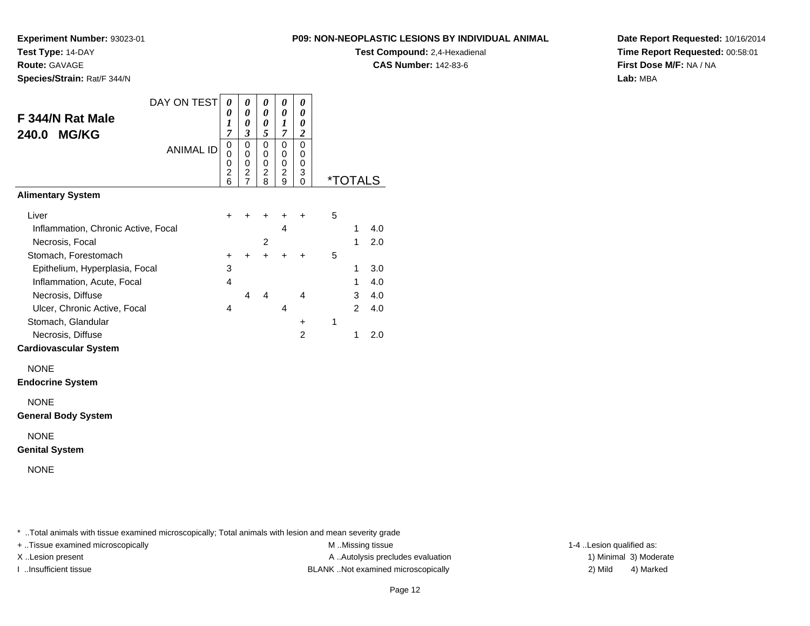**Test Compound:** 2,4-Hexadienal

**CAS Number:** 142-83-6

**Date Report Requested:** 10/16/2014**Time Report Requested:** 00:58:01**First Dose M/F:** NA / NA**Lab:** MBA

| <b>Route: GAVAGE</b>                                     |                                    |                                 |                                              |                                              |                                 |   |                       | <b>CA</b> |
|----------------------------------------------------------|------------------------------------|---------------------------------|----------------------------------------------|----------------------------------------------|---------------------------------|---|-----------------------|-----------|
| Species/Strain: Rat/F 344/N                              |                                    |                                 |                                              |                                              |                                 |   |                       |           |
| DAY ON TEST<br>F 344/N Rat Male<br><b>MG/KG</b><br>240.0 | 0<br>0<br>1<br>$\overline{7}$      | 0<br>0<br>0<br>3                | 0<br>0<br>0<br>5                             | 0<br>0<br>1<br>7                             | 0<br>0<br>0<br>$\boldsymbol{2}$ |   |                       |           |
| <b>ANIMAL ID</b>                                         | 0<br>0<br>0<br>$\overline{2}$<br>6 | $\mathbf 0$<br>0<br>0<br>2<br>7 | $\mathbf 0$<br>0<br>0<br>$\overline{c}$<br>8 | 0<br>$\mathbf 0$<br>0<br>$\overline{c}$<br>9 | $\Omega$<br>0<br>0<br>3<br>0    |   | <i><b>*TOTALS</b></i> |           |
| <b>Alimentary System</b>                                 |                                    |                                 |                                              |                                              |                                 |   |                       |           |
| Liver<br>Inflammation, Chronic Active, Focal             | +                                  |                                 | +                                            | +<br>$\overline{4}$                          | +                               | 5 | 1                     | 4.0       |
| Necrosis, Focal                                          |                                    |                                 | $\overline{2}$                               |                                              |                                 |   | 1                     | 2.0       |
| Stomach, Forestomach                                     | +                                  | +                               | $\ddot{}$                                    | +                                            | +                               | 5 |                       |           |
| Epithelium, Hyperplasia, Focal                           | 3                                  |                                 |                                              |                                              |                                 |   | 1                     | 3.0       |
| Inflammation, Acute, Focal                               | $\overline{4}$                     |                                 |                                              |                                              |                                 |   | 1                     | 4.0       |
| Necrosis, Diffuse                                        |                                    | 4                               | 4                                            |                                              | 4                               |   | 3                     | 4.0       |
| Ulcer, Chronic Active, Focal                             | 4                                  |                                 |                                              | 4                                            |                                 |   | $\overline{2}$        | 4.0       |
| Stomach, Glandular                                       |                                    |                                 |                                              |                                              | $\ddot{}$                       | 1 |                       |           |
| Necrosis, Diffuse                                        |                                    |                                 |                                              |                                              | $\overline{2}$                  |   | 1                     | 2.0       |
| <b>Cardiovascular System</b>                             |                                    |                                 |                                              |                                              |                                 |   |                       |           |
| <b>NONE</b><br><b>Endocrine System</b>                   |                                    |                                 |                                              |                                              |                                 |   |                       |           |
| <b>NONE</b><br><b>General Body System</b>                |                                    |                                 |                                              |                                              |                                 |   |                       |           |
| <b>NONE</b><br><b>Genital System</b>                     |                                    |                                 |                                              |                                              |                                 |   |                       |           |
| <b>NONE</b>                                              |                                    |                                 |                                              |                                              |                                 |   |                       |           |

\* ..Total animals with tissue examined microscopically; Total animals with lesion and mean severity grade

**Experiment Number:** 93023-01

**Test Type:** 14-DAY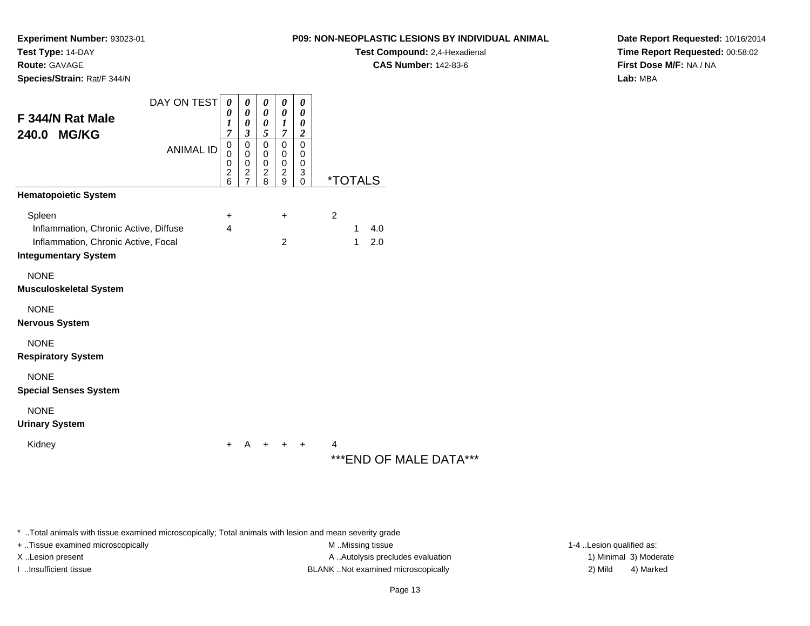**Test Compound:** 2,4-Hexadienal

**CAS Number:** 142-83-6

**Date Report Requested:** 10/16/2014**Time Report Requested:** 00:58:02**First Dose M/F:** NA / NA**Lab:** MBA

| Species/Strain: Rat/F 344/N                                                                                           |                                 |                                                                  |                                                                                       |                                                                     |                                                     |                                                                              |                                                   |
|-----------------------------------------------------------------------------------------------------------------------|---------------------------------|------------------------------------------------------------------|---------------------------------------------------------------------------------------|---------------------------------------------------------------------|-----------------------------------------------------|------------------------------------------------------------------------------|---------------------------------------------------|
| F 344/N Rat Male<br>240.0 MG/KG                                                                                       | DAY ON TEST<br><b>ANIMAL ID</b> | 0<br>0<br>1<br>7<br>$\mathbf 0$<br>0<br>0<br>$\overline{2}$<br>6 | 0<br>0<br>0<br>3<br>$\mathbf 0$<br>0<br>$\pmb{0}$<br>$\overline{c}$<br>$\overline{7}$ | 0<br>0<br>0<br>5<br>0<br>0<br>0<br>$\overline{c}$<br>$\overline{8}$ | 0<br>0<br>1<br>7<br>$\mathbf 0$<br>0<br>0<br>2<br>9 | 0<br>0<br>0<br>$\boldsymbol{2}$<br>$\mathbf 0$<br>0<br>0<br>3<br>$\mathbf 0$ | <i><b>*TOTALS</b></i>                             |
| <b>Hematopoietic System</b>                                                                                           |                                 |                                                                  |                                                                                       |                                                                     |                                                     |                                                                              |                                                   |
| Spleen<br>Inflammation, Chronic Active, Diffuse<br>Inflammation, Chronic Active, Focal<br><b>Integumentary System</b> |                                 | +<br>4                                                           |                                                                                       |                                                                     | $\ddot{}$<br>$\overline{2}$                         |                                                                              | $\overline{c}$<br>4.0<br>1<br>2.0<br>$\mathbf{1}$ |
| <b>NONE</b><br>Musculoskeletal System                                                                                 |                                 |                                                                  |                                                                                       |                                                                     |                                                     |                                                                              |                                                   |
| <b>NONE</b><br>Nervous System                                                                                         |                                 |                                                                  |                                                                                       |                                                                     |                                                     |                                                                              |                                                   |
| <b>NONE</b><br><b>Respiratory System</b>                                                                              |                                 |                                                                  |                                                                                       |                                                                     |                                                     |                                                                              |                                                   |
| <b>NONE</b><br><b>Special Senses System</b>                                                                           |                                 |                                                                  |                                                                                       |                                                                     |                                                     |                                                                              |                                                   |
| <b>NONE</b><br><b>Urinary System</b>                                                                                  |                                 |                                                                  |                                                                                       |                                                                     |                                                     |                                                                              |                                                   |
| Kidney                                                                                                                |                                 | ٠                                                                | A                                                                                     | +                                                                   | ÷                                                   | +                                                                            | 4<br>***END OF MALE DATA***                       |

\* ..Total animals with tissue examined microscopically; Total animals with lesion and mean severity grade

**Experiment Number:** 93023-01

**Test Type:** 14-DAY**Route:** GAVAGE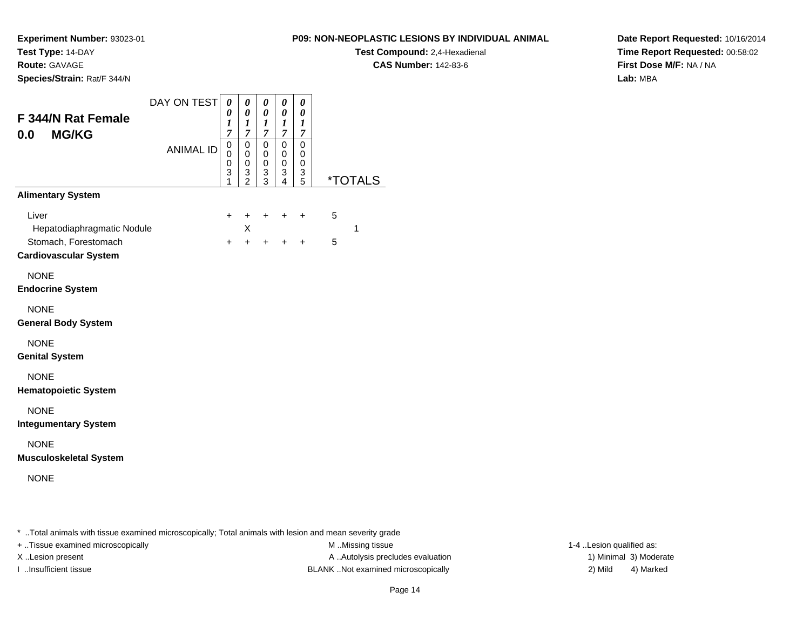**Route:** GAVAGE

**Species/Strain:** Rat/F 344/N

#### **P09: NON-NEOPLASTIC LESIONS BY INDIVIDUAL ANIMAL**

**Test Compound:** 2,4-Hexadienal

**CAS Number:** 142-83-6

**Date Report Requested:** 10/16/2014**Time Report Requested:** 00:58:02**First Dose M/F:** NA / NA**Lab:** MBA

| <b>F 344/N Rat Female</b><br><b>MG/KG</b><br>0.0                                            | DAY ON TEST      | 0<br>0<br>$\boldsymbol{l}$<br>$\overline{7}$ | 0<br>$\boldsymbol{\theta}$<br>$\boldsymbol{l}$<br>$\boldsymbol{7}$ | 0<br>$\boldsymbol{\theta}$<br>$\boldsymbol{l}$<br>$\overline{7}$ | $\pmb{\theta}$<br>0<br>$\boldsymbol{l}$<br>7 | $\boldsymbol{\theta}$<br>0<br>$\boldsymbol{l}$<br>$\overline{7}$ |        |                       |
|---------------------------------------------------------------------------------------------|------------------|----------------------------------------------|--------------------------------------------------------------------|------------------------------------------------------------------|----------------------------------------------|------------------------------------------------------------------|--------|-----------------------|
|                                                                                             | <b>ANIMAL ID</b> | $\mathbf 0$<br>0<br>$\pmb{0}$<br>3<br>1      | 0<br>$\mathbf 0$<br>0<br>$\frac{3}{2}$                             | $\mathbf 0$<br>0<br>0<br>3<br>3                                  | $\mathbf 0$<br>0<br>0<br>3<br>4              | $\mathbf 0$<br>0<br>0<br>3<br>5                                  |        | <i><b>*TOTALS</b></i> |
| <b>Alimentary System</b>                                                                    |                  |                                              |                                                                    |                                                                  |                                              |                                                                  |        |                       |
| Liver<br>Hepatodiaphragmatic Nodule<br>Stomach, Forestomach<br><b>Cardiovascular System</b> |                  | $\ddot{}$<br>+                               | +<br>X<br>$\ddot{}$                                                | $\ddot{}$<br>+                                                   | +<br>+                                       | ÷<br>+                                                           | 5<br>5 | 1                     |
| <b>NONE</b><br><b>Endocrine System</b>                                                      |                  |                                              |                                                                    |                                                                  |                                              |                                                                  |        |                       |
| <b>NONE</b><br><b>General Body System</b>                                                   |                  |                                              |                                                                    |                                                                  |                                              |                                                                  |        |                       |
| <b>NONE</b><br><b>Genital System</b>                                                        |                  |                                              |                                                                    |                                                                  |                                              |                                                                  |        |                       |
| <b>NONE</b><br><b>Hematopoietic System</b>                                                  |                  |                                              |                                                                    |                                                                  |                                              |                                                                  |        |                       |
| <b>NONE</b><br><b>Integumentary System</b>                                                  |                  |                                              |                                                                    |                                                                  |                                              |                                                                  |        |                       |
| <b>NONE</b><br><b>Musculoskeletal System</b>                                                |                  |                                              |                                                                    |                                                                  |                                              |                                                                  |        |                       |
| <b>NONE</b>                                                                                 |                  |                                              |                                                                    |                                                                  |                                              |                                                                  |        |                       |
|                                                                                             |                  |                                              |                                                                    |                                                                  |                                              |                                                                  |        |                       |

\* ..Total animals with tissue examined microscopically; Total animals with lesion and mean severity grade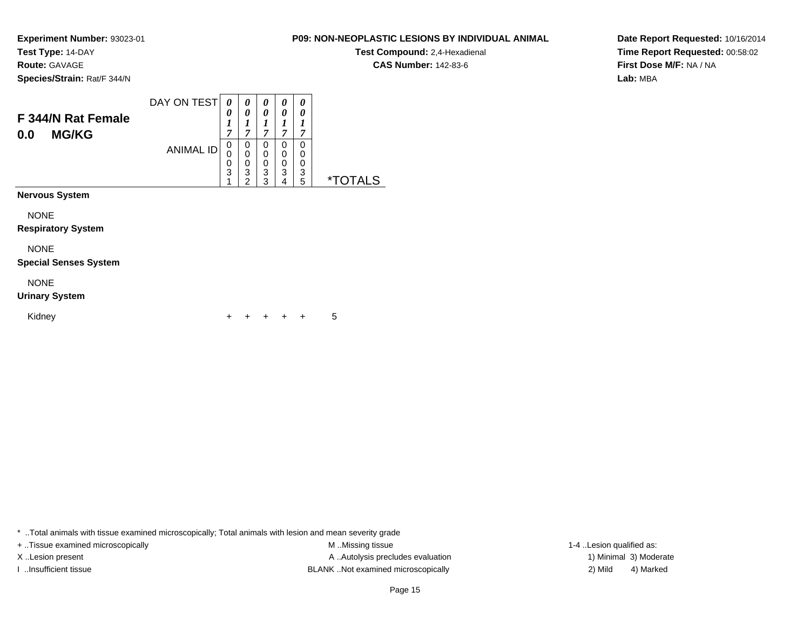**Route:** GAVAGE

**Species/Strain:** Rat/F 344/N

| <b>P09: NON-NEOPLASTIC LESIONS BY INDIVIDUAL ANIMAL</b> |  |
|---------------------------------------------------------|--|
|---------------------------------------------------------|--|

**Test Compound:** 2,4-Hexadienal **CAS Number:** 142-83-6

**Date Report Requested:** 10/16/2014**Time Report Requested:** 00:58:02**First Dose M/F:** NA / NA**Lab:** MBA

| F 344/N Rat Female<br><b>MG/KG</b><br>0.0   | DAY ON TEST<br><b>ANIMAL ID</b> | 0<br>0<br>1<br>7<br>0<br>0<br>0<br>$\overline{3}$ | 0<br>0<br>1<br>$\overline{7}$<br>0<br>$\mathbf 0$<br>0<br>3<br>$\overline{2}$ | 0<br>0<br>1<br>$\overline{7}$<br>0<br>0<br>$\mathbf 0$<br>$\overline{3}$<br>3 | 0<br>0<br>1<br>$\overline{7}$<br>0<br>0<br>0<br>3<br>4 | 0<br>0<br>1<br>7<br>0<br>0<br>0<br>3<br>5 | <i><b>*TOTALS</b></i> |
|---------------------------------------------|---------------------------------|---------------------------------------------------|-------------------------------------------------------------------------------|-------------------------------------------------------------------------------|--------------------------------------------------------|-------------------------------------------|-----------------------|
| Nervous System                              |                                 |                                                   |                                                                               |                                                                               |                                                        |                                           |                       |
| <b>NONE</b><br><b>Respiratory System</b>    |                                 |                                                   |                                                                               |                                                                               |                                                        |                                           |                       |
| <b>NONE</b><br><b>Special Senses System</b> |                                 |                                                   |                                                                               |                                                                               |                                                        |                                           |                       |
| <b>NONE</b><br><b>Urinary System</b>        |                                 |                                                   |                                                                               |                                                                               |                                                        |                                           |                       |
| Kidney                                      |                                 |                                                   |                                                                               |                                                                               |                                                        | ÷                                         | 5                     |

\* ..Total animals with tissue examined microscopically; Total animals with lesion and mean severity grade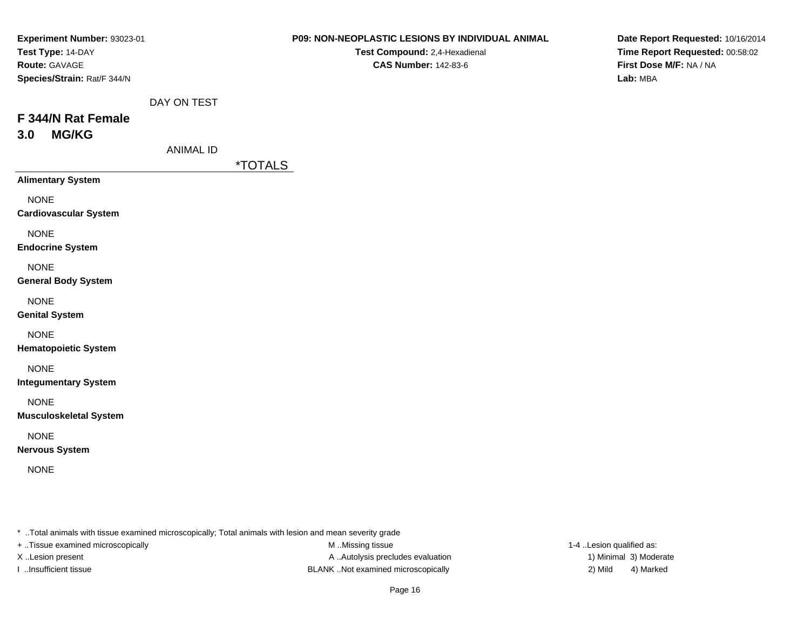| Experiment Number: 93023-01   |                  |                       | P09: NON-NEOPLASTIC LESIONS BY INDIVIDUAL ANIMAL | Date Report Requested: 10/16/2014                                      |  |  |  |
|-------------------------------|------------------|-----------------------|--------------------------------------------------|------------------------------------------------------------------------|--|--|--|
| Test Type: 14-DAY             |                  |                       | Test Compound: 2,4-Hexadienal                    | Time Report Requested: 00:58:02<br>First Dose M/F: NA / NA<br>Lab: MBA |  |  |  |
| Route: GAVAGE                 |                  |                       | <b>CAS Number: 142-83-6</b>                      |                                                                        |  |  |  |
| Species/Strain: Rat/F 344/N   |                  |                       |                                                  |                                                                        |  |  |  |
|                               | DAY ON TEST      |                       |                                                  |                                                                        |  |  |  |
| F 344/N Rat Female            |                  |                       |                                                  |                                                                        |  |  |  |
| <b>MG/KG</b><br>3.0           |                  |                       |                                                  |                                                                        |  |  |  |
|                               | <b>ANIMAL ID</b> |                       |                                                  |                                                                        |  |  |  |
|                               |                  | <i><b>*TOTALS</b></i> |                                                  |                                                                        |  |  |  |
| <b>Alimentary System</b>      |                  |                       |                                                  |                                                                        |  |  |  |
| <b>NONE</b>                   |                  |                       |                                                  |                                                                        |  |  |  |
| <b>Cardiovascular System</b>  |                  |                       |                                                  |                                                                        |  |  |  |
| <b>NONE</b>                   |                  |                       |                                                  |                                                                        |  |  |  |
| <b>Endocrine System</b>       |                  |                       |                                                  |                                                                        |  |  |  |
| <b>NONE</b>                   |                  |                       |                                                  |                                                                        |  |  |  |
| <b>General Body System</b>    |                  |                       |                                                  |                                                                        |  |  |  |
| <b>NONE</b>                   |                  |                       |                                                  |                                                                        |  |  |  |
| <b>Genital System</b>         |                  |                       |                                                  |                                                                        |  |  |  |
| <b>NONE</b>                   |                  |                       |                                                  |                                                                        |  |  |  |
| <b>Hematopoietic System</b>   |                  |                       |                                                  |                                                                        |  |  |  |
| <b>NONE</b>                   |                  |                       |                                                  |                                                                        |  |  |  |
| <b>Integumentary System</b>   |                  |                       |                                                  |                                                                        |  |  |  |
| <b>NONE</b>                   |                  |                       |                                                  |                                                                        |  |  |  |
| <b>Musculoskeletal System</b> |                  |                       |                                                  |                                                                        |  |  |  |
| <b>NONE</b>                   |                  |                       |                                                  |                                                                        |  |  |  |
| <b>Nervous System</b>         |                  |                       |                                                  |                                                                        |  |  |  |
| <b>NONE</b>                   |                  |                       |                                                  |                                                                        |  |  |  |
|                               |                  |                       |                                                  |                                                                        |  |  |  |
|                               |                  |                       |                                                  |                                                                        |  |  |  |

\* ..Total animals with tissue examined microscopically; Total animals with lesion and mean severity grade

+ ..Tissue examined microscopically

M ..Missing tissue X..Lesion present **A ..Autolysis precludes evaluation** A ..Autolysis precludes evaluation 1) Minimal 3) Moderate I ..Insufficient tissue BLANK ..Not examined microscopically 2) Mild 4) Marked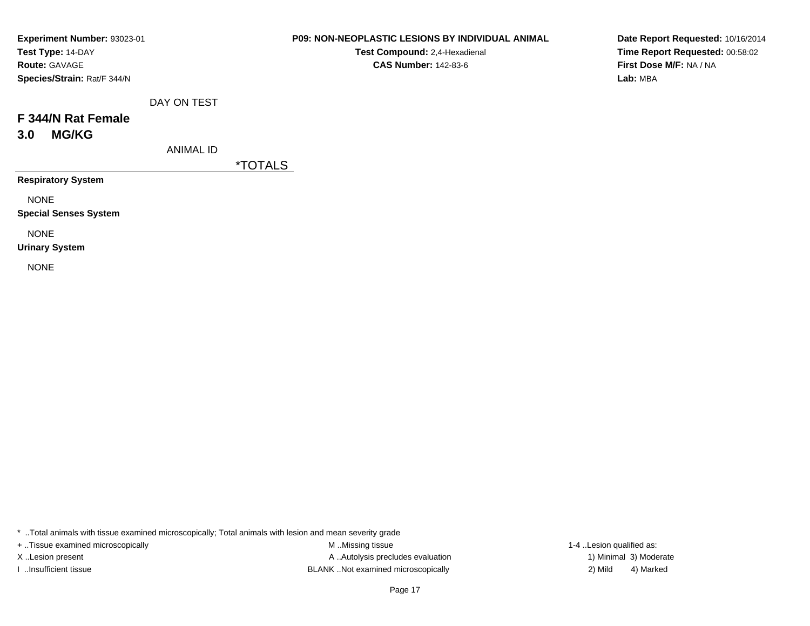| Experiment Number: 93023-01 |
|-----------------------------|
| Test Type: 14-DAY           |
| <b>Route: GAVAGE</b>        |
| Species/Strain: Rat/F 344/N |

**Test Compound:** 2,4-Hexadienal **CAS Number:** 142-83-6

**Date Report Requested:** 10/16/2014**Time Report Requested:** 00:58:02**First Dose M/F:** NA / NA**Lab:** MBA

|  | DAY ON TEST |  |
|--|-------------|--|
|--|-------------|--|

## **F 344/N Rat Female3.0 MG/KG**

ANIMAL ID

\*TOTALS

**Respiratory System**

NONE

**Special Senses System**

NONE

**Urinary System**

NONE

\* ..Total animals with tissue examined microscopically; Total animals with lesion and mean severity grade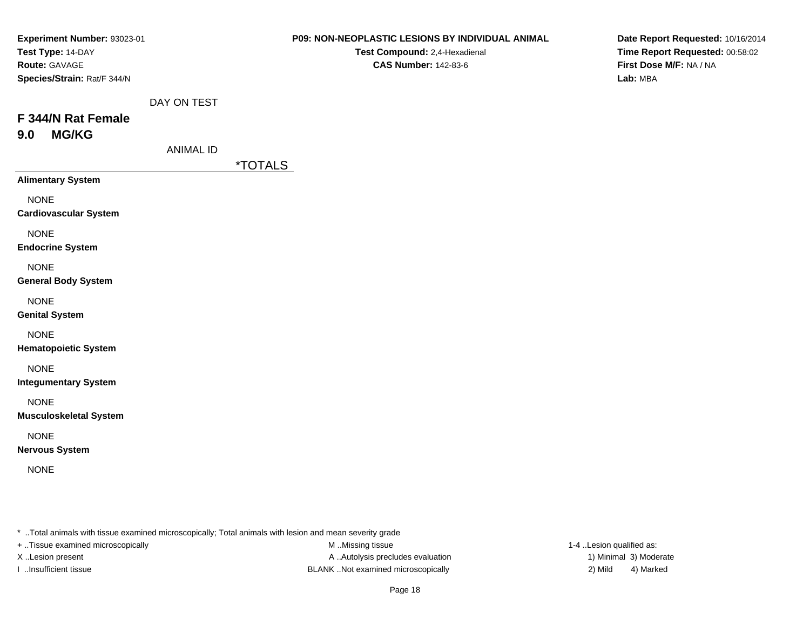| Experiment Number: 93023-01   |                  |                       | P09: NON-NEOPLASTIC LESIONS BY INDIVIDUAL ANIMAL | Date Report Requested: 10/16/2014<br>Time Report Requested: 00:58:02<br>First Dose M/F: NA / NA<br>Lab: MBA |  |  |
|-------------------------------|------------------|-----------------------|--------------------------------------------------|-------------------------------------------------------------------------------------------------------------|--|--|
| Test Type: 14-DAY             |                  |                       | Test Compound: 2,4-Hexadienal                    |                                                                                                             |  |  |
| Route: GAVAGE                 |                  |                       | <b>CAS Number: 142-83-6</b>                      |                                                                                                             |  |  |
| Species/Strain: Rat/F 344/N   |                  |                       |                                                  |                                                                                                             |  |  |
|                               | DAY ON TEST      |                       |                                                  |                                                                                                             |  |  |
| F 344/N Rat Female            |                  |                       |                                                  |                                                                                                             |  |  |
| <b>MG/KG</b><br>9.0           |                  |                       |                                                  |                                                                                                             |  |  |
|                               | <b>ANIMAL ID</b> |                       |                                                  |                                                                                                             |  |  |
|                               |                  | <i><b>*TOTALS</b></i> |                                                  |                                                                                                             |  |  |
| <b>Alimentary System</b>      |                  |                       |                                                  |                                                                                                             |  |  |
| <b>NONE</b>                   |                  |                       |                                                  |                                                                                                             |  |  |
| <b>Cardiovascular System</b>  |                  |                       |                                                  |                                                                                                             |  |  |
| <b>NONE</b>                   |                  |                       |                                                  |                                                                                                             |  |  |
| <b>Endocrine System</b>       |                  |                       |                                                  |                                                                                                             |  |  |
| <b>NONE</b>                   |                  |                       |                                                  |                                                                                                             |  |  |
| <b>General Body System</b>    |                  |                       |                                                  |                                                                                                             |  |  |
| <b>NONE</b>                   |                  |                       |                                                  |                                                                                                             |  |  |
| <b>Genital System</b>         |                  |                       |                                                  |                                                                                                             |  |  |
| <b>NONE</b>                   |                  |                       |                                                  |                                                                                                             |  |  |
| <b>Hematopoietic System</b>   |                  |                       |                                                  |                                                                                                             |  |  |
| <b>NONE</b>                   |                  |                       |                                                  |                                                                                                             |  |  |
| <b>Integumentary System</b>   |                  |                       |                                                  |                                                                                                             |  |  |
| <b>NONE</b>                   |                  |                       |                                                  |                                                                                                             |  |  |
| <b>Musculoskeletal System</b> |                  |                       |                                                  |                                                                                                             |  |  |
| <b>NONE</b>                   |                  |                       |                                                  |                                                                                                             |  |  |
| <b>Nervous System</b>         |                  |                       |                                                  |                                                                                                             |  |  |
| <b>NONE</b>                   |                  |                       |                                                  |                                                                                                             |  |  |
|                               |                  |                       |                                                  |                                                                                                             |  |  |
|                               |                  |                       |                                                  |                                                                                                             |  |  |

\* ..Total animals with tissue examined microscopically; Total animals with lesion and mean severity grade

+ ..Tissue examined microscopically

M ..Missing tissue X..Lesion present **A ..Autolysis precludes evaluation** A ..Autolysis precludes evaluation 1) Minimal 3) Moderate I ..Insufficient tissue BLANK ..Not examined microscopically 2) Mild 4) Marked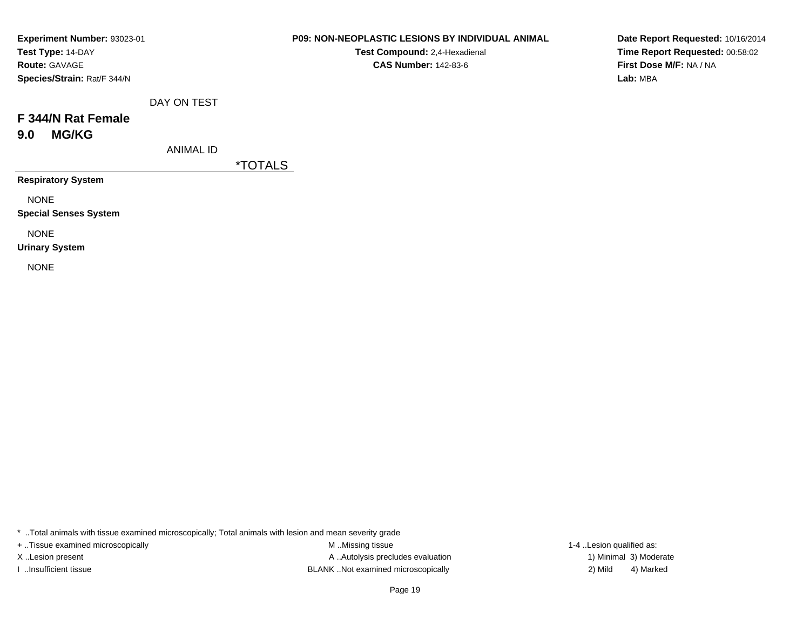| Experiment Number: 93023-01 |
|-----------------------------|
| Test Type: 14-DAY           |
| <b>Route: GAVAGE</b>        |
| Species/Strain: Rat/F 344/N |

**Test Compound:** 2,4-Hexadienal **CAS Number:** 142-83-6

**Date Report Requested:** 10/16/2014**Time Report Requested:** 00:58:02**First Dose M/F:** NA / NA**Lab:** MBA

|  |  | DAY ON TEST |
|--|--|-------------|
|--|--|-------------|

## **F 344/N Rat Female9.0 MG/KG**

ANIMAL ID

\*TOTALS

**Respiratory System**

NONE

**Special Senses System**

NONE

**Urinary System**

NONE

\* ..Total animals with tissue examined microscopically; Total animals with lesion and mean severity grade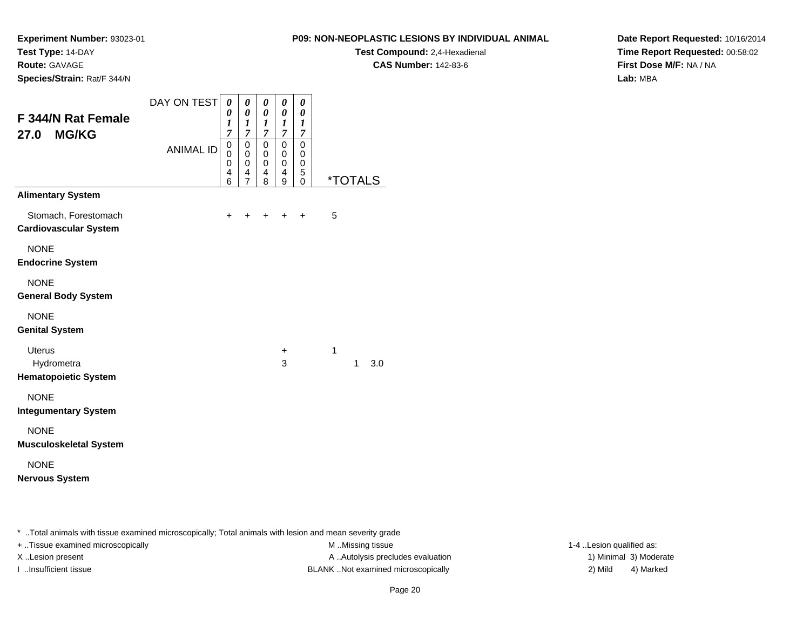**Test Type:** 14-DAY**Route:** GAVAGE

**Species/Strain:** Rat/F 344/N

### **P09: NON-NEOPLASTIC LESIONS BY INDIVIDUAL ANIMAL**

**Test Compound:** 2,4-Hexadienal

**CAS Number:** 142-83-6

**Date Report Requested:** 10/16/2014**Time Report Requested:** 00:58:02**First Dose M/F:** NA / NA**Lab:** MBA

| F 344/N Rat Female<br><b>MG/KG</b><br>27.0<br><b>Alimentary System</b> | DAY ON TEST<br><b>ANIMAL ID</b> | 0<br>0<br>1<br>7<br>0<br>0<br>0<br>4<br>6 | 0<br>0<br>1<br>$\overline{7}$<br>$\mathbf 0$<br>0<br>$\mathbf 0$<br>4<br>$\overline{7}$ | 0<br>0<br>1<br>$\overline{7}$<br>0<br>0<br>$\mathbf 0$<br>4<br>8 | 0<br>0<br>1<br>$\overline{7}$<br>0<br>0<br>0<br>4<br>9 | 0<br>0<br>1<br>$\overline{7}$<br>$\mathbf 0$<br>0<br>$\mathbf 0$<br>5<br>0 |   |              | <i><b>*TOTALS</b></i> |
|------------------------------------------------------------------------|---------------------------------|-------------------------------------------|-----------------------------------------------------------------------------------------|------------------------------------------------------------------|--------------------------------------------------------|----------------------------------------------------------------------------|---|--------------|-----------------------|
| Stomach, Forestomach<br><b>Cardiovascular System</b>                   |                                 | $\ddot{}$                                 |                                                                                         | $\ddot{}$                                                        | $\ddot{}$                                              | $\ddot{}$                                                                  | 5 |              |                       |
| <b>NONE</b><br><b>Endocrine System</b>                                 |                                 |                                           |                                                                                         |                                                                  |                                                        |                                                                            |   |              |                       |
| <b>NONE</b><br><b>General Body System</b>                              |                                 |                                           |                                                                                         |                                                                  |                                                        |                                                                            |   |              |                       |
| <b>NONE</b><br><b>Genital System</b>                                   |                                 |                                           |                                                                                         |                                                                  |                                                        |                                                                            |   |              |                       |
| <b>Uterus</b><br>Hydrometra<br><b>Hematopoietic System</b>             |                                 |                                           |                                                                                         |                                                                  | +<br>3                                                 |                                                                            | 1 | $\mathbf{1}$ | 3.0                   |
| <b>NONE</b><br><b>Integumentary System</b>                             |                                 |                                           |                                                                                         |                                                                  |                                                        |                                                                            |   |              |                       |
| <b>NONE</b><br><b>Musculoskeletal System</b>                           |                                 |                                           |                                                                                         |                                                                  |                                                        |                                                                            |   |              |                       |
| <b>NONE</b><br><b>Nervous System</b>                                   |                                 |                                           |                                                                                         |                                                                  |                                                        |                                                                            |   |              |                       |

\* ..Total animals with tissue examined microscopically; Total animals with lesion and mean severity grade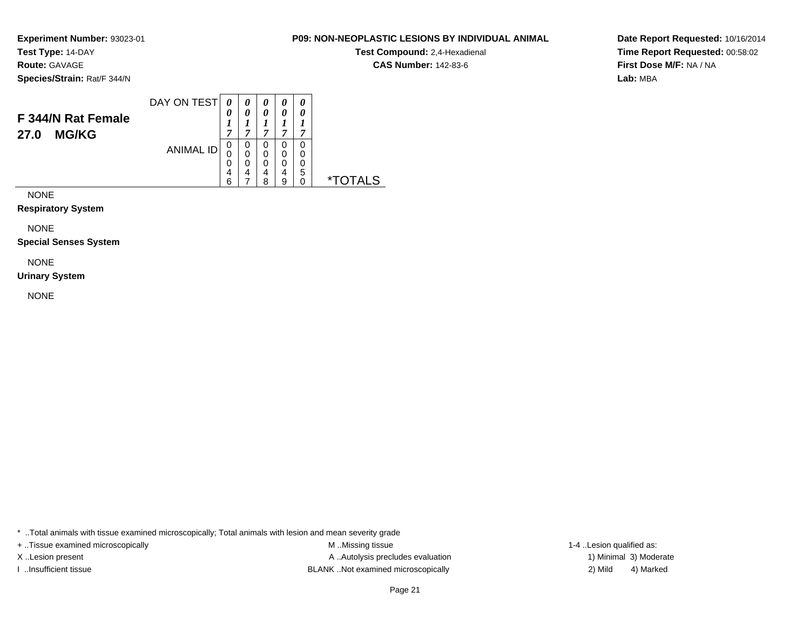**Test Type:** 14-DAY**Route:** GAVAGE

**Species/Strain:** Rat/F 344/N

#### DAY ON TEST**F 344/N Rat Female27.0 MG/KG**ANIMAL ID*0 0 1 7*0<br>0<br>0<br>6<br>6 *0 0 1 7*0<br>0<br>0<br>7<br>7 *0 0 1 7* 0 0 0 4 8*0 0 1 7* 0 0 0 4 9*0 0 1 7* 0 0 0 5 0 \*TOTALS

NONE

**Respiratory System**

NONE

**Special Senses System**

NONE

**Urinary System**

NONE

\* ..Total animals with tissue examined microscopically; Total animals with lesion and mean severity grade

+ ..Tissue examined microscopically examined microscopically examined as:  $M$  ..Missing tissue 1-4 ..Lesion qualified as: X..Lesion present **A ..Autolysis precludes evaluation** A ..Autolysis precludes evaluation 1) Minimal 3) Moderate I ..Insufficient tissue BLANK ..Not examined microscopically 2) Mild 4) Marked

Page 21

**Date Report Requested:** 10/16/2014**Time Report Requested:** 00:58:02**First Dose M/F:** NA / NA**Lab:** MBA

#### **P09: NON-NEOPLASTIC LESIONS BY INDIVIDUAL ANIMAL**

**Test Compound:** 2,4-Hexadienal **CAS Number:** 142-83-6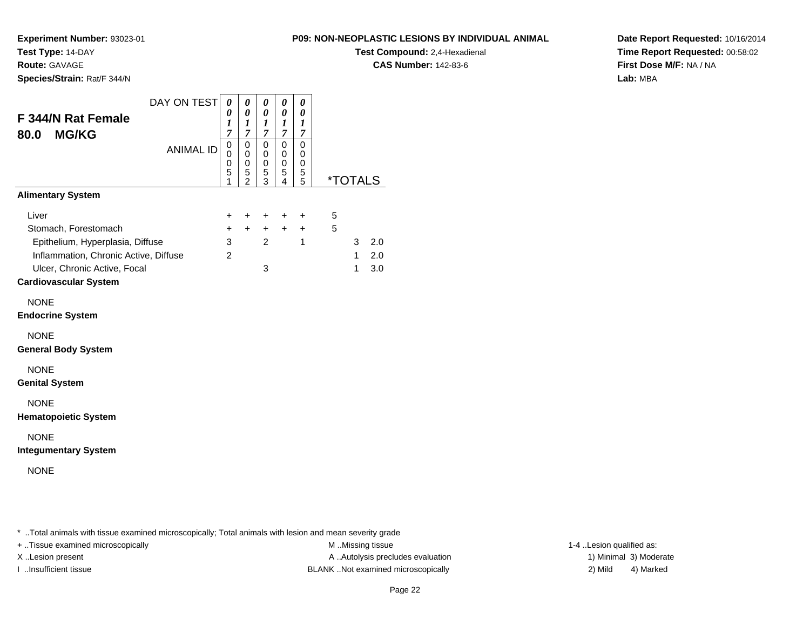**Route:** GAVAGE

**Species/Strain:** Rat/F 344/N

**P09: NON-NEOPLASTIC LESIONS BY INDIVIDUAL ANIMAL**

**Test Compound:** 2,4-Hexadienal

**CAS Number:** 142-83-6

**Date Report Requested:** 10/16/2014**Time Report Requested:** 00:58:02**First Dose M/F:** NA / NA**Lab:** MBA

| <b>F 344/N Rat Female</b><br>80.0<br><b>MG/KG</b>                                                                                         | DAY ON TEST      | $\boldsymbol{\theta}$<br>0<br>1<br>$\overline{7}$ | 0<br>0<br>1<br>$\overline{7}$                        | 0<br>$\theta$<br>1<br>$\overline{7}$ | 0<br>0<br>$\boldsymbol{l}$<br>7 | 0<br>0<br>1<br>$\overline{7}$   |        |                        |                   |
|-------------------------------------------------------------------------------------------------------------------------------------------|------------------|---------------------------------------------------|------------------------------------------------------|--------------------------------------|---------------------------------|---------------------------------|--------|------------------------|-------------------|
|                                                                                                                                           | <b>ANIMAL ID</b> | $\mathbf 0$<br>$\mathbf 0$<br>0<br>5<br>1         | $\pmb{0}$<br>0<br>$\mathbf 0$<br>5<br>$\overline{2}$ | 0<br>0<br>0<br>5<br>3                | $\mathbf 0$<br>0<br>0<br>5<br>4 | $\mathbf 0$<br>0<br>0<br>5<br>5 |        | <i><b>*TOTALS</b></i>  |                   |
| <b>Alimentary System</b>                                                                                                                  |                  |                                                   |                                                      |                                      |                                 |                                 |        |                        |                   |
| Liver<br>Stomach, Forestomach                                                                                                             |                  | +<br>$\ddot{}$                                    | $\ddot{}$<br>$+$                                     | +<br>$+$                             | $\ddot{}$<br>$+$                | +<br>$+$                        | 5<br>5 |                        |                   |
| Epithelium, Hyperplasia, Diffuse<br>Inflammation, Chronic Active, Diffuse<br>Ulcer, Chronic Active, Focal<br><b>Cardiovascular System</b> |                  | 3<br>$\overline{2}$                               |                                                      | $\overline{2}$<br>3                  |                                 | 1                               |        | 3<br>$\mathbf{1}$<br>1 | 2.0<br>2.0<br>3.0 |
| <b>NONE</b><br><b>Endocrine System</b>                                                                                                    |                  |                                                   |                                                      |                                      |                                 |                                 |        |                        |                   |
| <b>NONE</b><br><b>General Body System</b>                                                                                                 |                  |                                                   |                                                      |                                      |                                 |                                 |        |                        |                   |
| <b>NONE</b><br><b>Genital System</b>                                                                                                      |                  |                                                   |                                                      |                                      |                                 |                                 |        |                        |                   |
| <b>NONE</b><br><b>Hematopoietic System</b>                                                                                                |                  |                                                   |                                                      |                                      |                                 |                                 |        |                        |                   |
| <b>NONE</b><br><b>Integumentary System</b>                                                                                                |                  |                                                   |                                                      |                                      |                                 |                                 |        |                        |                   |
| <b>NONE</b>                                                                                                                               |                  |                                                   |                                                      |                                      |                                 |                                 |        |                        |                   |
|                                                                                                                                           |                  |                                                   |                                                      |                                      |                                 |                                 |        |                        |                   |

\* ..Total animals with tissue examined microscopically; Total animals with lesion and mean severity grade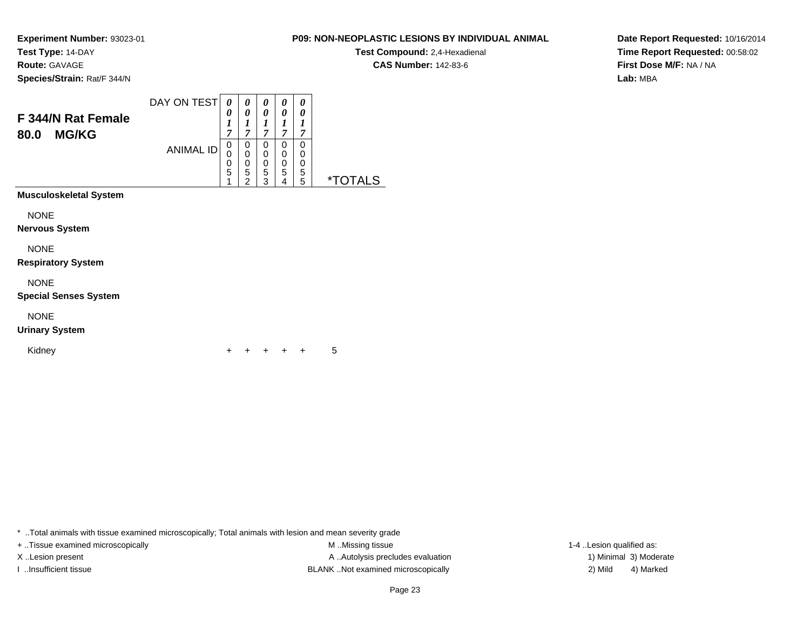**Test Type:** 14-DAY**Route:** GAVAGE

**Species/Strain:** Rat/F 344/N

#### DAY ON TEST**F 344/N Rat Female80.0 MG/KG**ANIMAL ID*0 0 1 7*0<br>0<br>0<br>5<br>1 *0 0 1 7*0<br>0<br>0<br>5<br>2 *0 0 1 7* 0 0 0 5 3*0 0 1 7* 0 0 0 5 4*0 0 1 7* 0 0 0 5 5 \*TOTALS**Musculoskeletal System**NONE

**Nervous System**

NONE

**Respiratory System**

NONE

**Special Senses System**

NONE

**Urinary System**

Kidney<sup>+</sup>

<sup>+</sup> <sup>+</sup> <sup>+</sup> + 5

\* ..Total animals with tissue examined microscopically; Total animals with lesion and mean severity grade

+ ..Tissue examined microscopically examined microscopically examined as:  $M$  ..Missing tissue 1-4 ..Lesion qualified as: X..Lesion present **A ..Autolysis precludes evaluation** A ..Autolysis precludes evaluation 1) Minimal 3) Moderate I ..Insufficient tissue BLANK ..Not examined microscopically 2) Mild 4) Marked

**Date Report Requested:** 10/16/2014**Time Report Requested:** 00:58:02**First Dose M/F:** NA / NA**Lab:** MBA

### **P09: NON-NEOPLASTIC LESIONS BY INDIVIDUAL ANIMAL**

**Test Compound:** 2,4-Hexadienal **CAS Number:** 142-83-6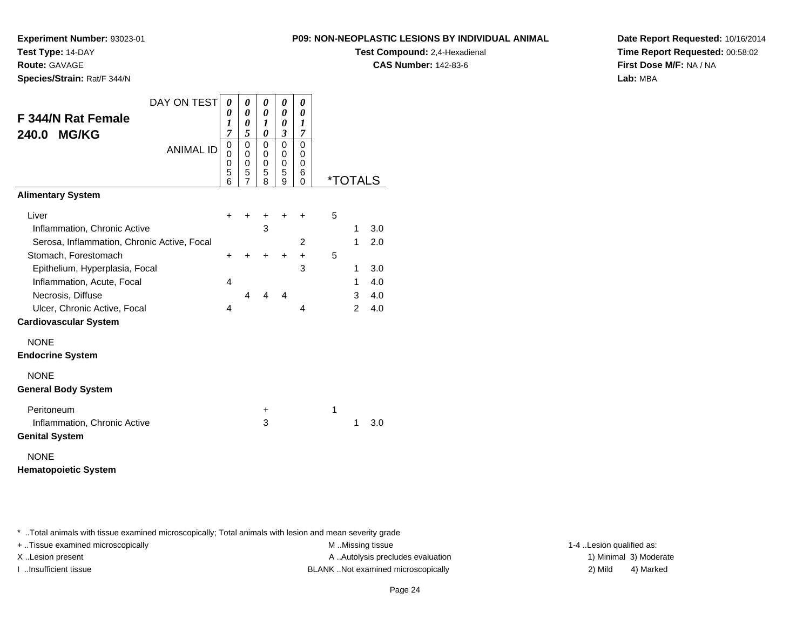**Test Compound:** 2,4-Hexadienal

**CAS Number:** 142-83-6

**Date Report Requested:** 10/16/2014**Time Report Requested:** 00:58:02**First Dose M/F:** NA / NA**Lab:** MBA

| DAY ON TEST                                 | 0                     | 0                     | 0                     | 0                       | 0                     |   |                       |     |
|---------------------------------------------|-----------------------|-----------------------|-----------------------|-------------------------|-----------------------|---|-----------------------|-----|
| <b>F 344/N Rat Female</b>                   | 0<br>$\boldsymbol{l}$ | 0<br>0                | 0<br>1                | 0<br>0                  | 0<br>1                |   |                       |     |
| <b>MG/KG</b><br>240.0                       | $\overline{7}$        | 5                     | 0                     | 3                       | 7                     |   |                       |     |
| <b>ANIMAL ID</b>                            | 0<br>0<br>0<br>5<br>6 | 0<br>0<br>0<br>5<br>7 | 0<br>0<br>0<br>5<br>8 | 0<br>0<br>0<br>5<br>9   | 0<br>0<br>0<br>6<br>0 |   | <i><b>*TOTALS</b></i> |     |
| <b>Alimentary System</b>                    |                       |                       |                       |                         |                       |   |                       |     |
| Liver                                       | ٠                     |                       | +                     | +                       | ٠                     | 5 |                       |     |
| Inflammation, Chronic Active                |                       |                       | 3                     |                         |                       |   | 1                     | 3.0 |
| Serosa, Inflammation, Chronic Active, Focal |                       |                       |                       |                         | 2                     |   | 1                     | 2.0 |
| Stomach, Forestomach                        | ٠                     |                       | +                     | +                       | $\ddot{}$             | 5 |                       |     |
| Epithelium, Hyperplasia, Focal              |                       |                       |                       |                         | 3                     |   | 1                     | 3.0 |
| Inflammation, Acute, Focal                  | 4                     |                       |                       |                         |                       |   | 1                     | 4.0 |
| Necrosis, Diffuse                           |                       | $\overline{4}$        | 4                     | $\overline{\mathbf{4}}$ |                       |   | 3                     | 4.0 |
| Ulcer, Chronic Active, Focal                | 4                     |                       |                       |                         | 4                     |   | $\overline{2}$        | 4.0 |
| <b>Cardiovascular System</b>                |                       |                       |                       |                         |                       |   |                       |     |
| <b>NONE</b>                                 |                       |                       |                       |                         |                       |   |                       |     |
| <b>Endocrine System</b>                     |                       |                       |                       |                         |                       |   |                       |     |
| <b>NONE</b>                                 |                       |                       |                       |                         |                       |   |                       |     |
| <b>General Body System</b>                  |                       |                       |                       |                         |                       |   |                       |     |
| Peritoneum                                  |                       |                       | $\ddot{}$             |                         |                       | 1 |                       |     |
| Inflammation, Chronic Active                |                       |                       | 3                     |                         |                       |   | 1                     | 3.0 |
| <b>Genital System</b>                       |                       |                       |                       |                         |                       |   |                       |     |
| <b>NONE</b>                                 |                       |                       |                       |                         |                       |   |                       |     |
| <b>Hematopoietic System</b>                 |                       |                       |                       |                         |                       |   |                       |     |

\* ..Total animals with tissue examined microscopically; Total animals with lesion and mean severity grade